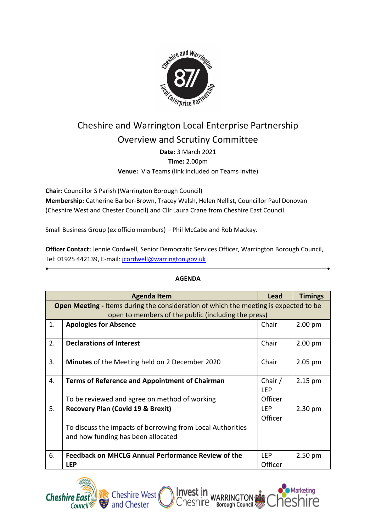

## Cheshire and Warrington Local Enterprise Partnership Overview and Scrutiny Committee

**Date:** 3 March 2021

**Time:** 2.00pm

**Venue:** Via Teams (link included on Teams Invite)

**Chair:** Councillor S Parish (Warrington Borough Council)

**Membership:** Catherine Barber-Brown, Tracey Walsh, Helen Nellist, Councillor Paul Donovan (Cheshire West and Chester Council) and Cllr Laura Crane from Cheshire East Council.

Small Business Group (ex officio members) – Phil McCabe and Rob Mackay.

**Officer Contact:** Jennie Cordwell, Senior Democratic Services Officer, Warrington Borough Council, Tel: 01925 442139, E-mail: [jcordwell@warrington.gov.uk](http://?)

|                                                                                             | <b>Agenda Item</b>                                         | Lead       | <b>Timings</b> |  |  |
|---------------------------------------------------------------------------------------------|------------------------------------------------------------|------------|----------------|--|--|
| <b>Open Meeting - Items during the consideration of which the meeting is expected to be</b> |                                                            |            |                |  |  |
| open to members of the public (including the press)                                         |                                                            |            |                |  |  |
| 1.                                                                                          | <b>Apologies for Absence</b>                               | Chair      | $2.00$ pm      |  |  |
|                                                                                             |                                                            |            |                |  |  |
| 2.                                                                                          | <b>Declarations of Interest</b>                            | Chair      | $2.00$ pm      |  |  |
|                                                                                             |                                                            |            |                |  |  |
| 3.                                                                                          | <b>Minutes</b> of the Meeting held on 2 December 2020      | Chair      | $2.05$ pm      |  |  |
|                                                                                             |                                                            |            |                |  |  |
| 4.                                                                                          | <b>Terms of Reference and Appointment of Chairman</b>      | Chair /    | $2.15$ pm      |  |  |
|                                                                                             |                                                            | <b>LEP</b> |                |  |  |
|                                                                                             | To be reviewed and agree on method of working              | Officer    |                |  |  |
| 5.                                                                                          | <b>Recovery Plan (Covid 19 &amp; Brexit)</b>               | <b>LEP</b> | $2.30$ pm      |  |  |
|                                                                                             |                                                            | Officer    |                |  |  |
|                                                                                             | To discuss the impacts of borrowing from Local Authorities |            |                |  |  |
|                                                                                             | and how funding has been allocated                         |            |                |  |  |
|                                                                                             |                                                            |            |                |  |  |
| 6.                                                                                          | <b>Feedback on MHCLG Annual Performance Review of the</b>  | <b>LEP</b> | $2.50$ pm      |  |  |
|                                                                                             | <b>LEP</b>                                                 | Officer    |                |  |  |

Inve

nesnire

## **AGENDA**